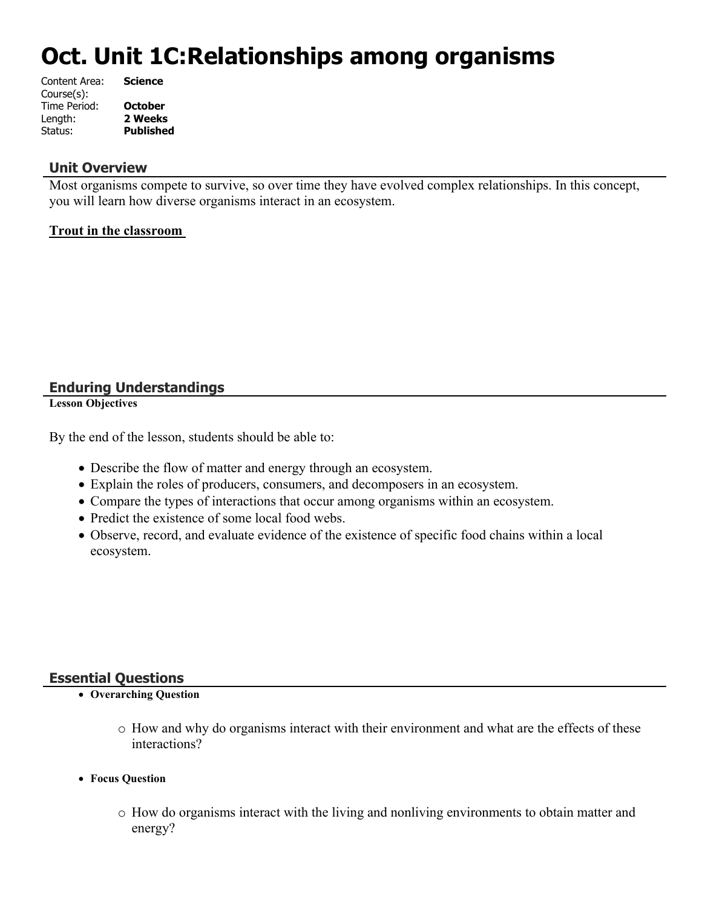# **Oct. Unit 1C:Relationships among organisms**

| Science          |
|------------------|
|                  |
| <b>October</b>   |
| 2 Weeks          |
| <b>Published</b> |
|                  |

## **Unit Overview**

Most organisms compete to survive, so over time they have evolved complex relationships. In this concept, you will learn how diverse organisms interact in an ecosystem.

#### **Trout in the classroom**

## **Enduring Understandings**

**Lesson Objectives**

By the end of the lesson, students should be able to:

- Describe the flow of matter and energy through an ecosystem.
- Explain the roles of producers, consumers, and decomposers in an ecosystem.
- Compare the types of interactions that occur among organisms within an ecosystem.
- Predict the existence of some local food webs.
- Observe, record, and evaluate evidence of the existence of specific food chains within a local ecosystem.

## **Essential Questions**

- **Overarching Question**
	- o How and why do organisms interact with their environment and what are the effects of these interactions?
- **Focus Question**
	- o How do organisms interact with the living and nonliving environments to obtain matter and energy?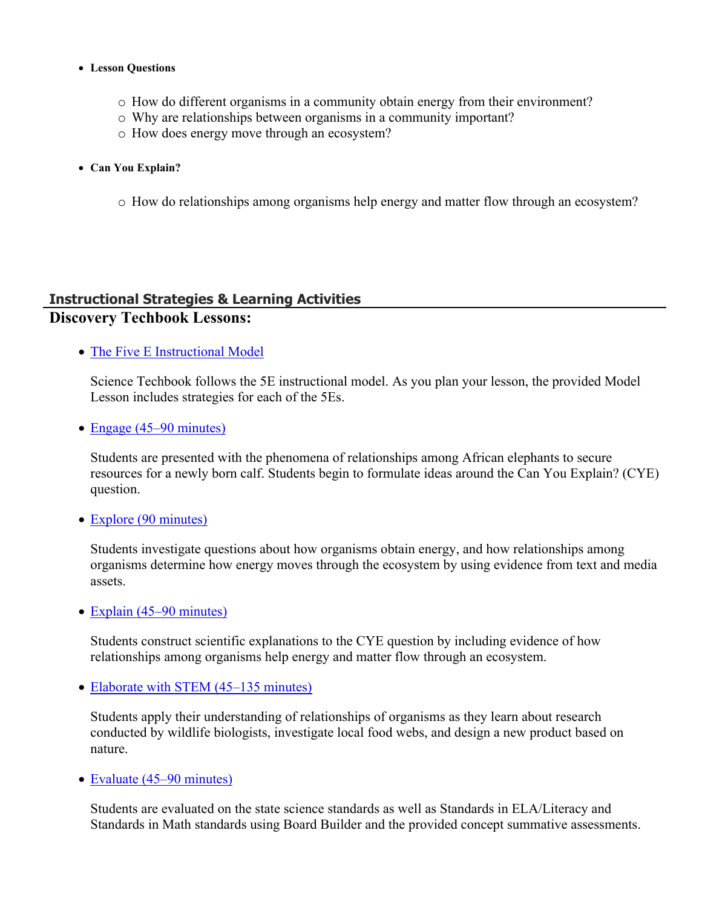#### **Lesson Questions**

- o How do different organisms in a community obtain energy from their environment?
- o Why are relationships between organisms in a community important?
- o How does energy move through an ecosystem?
- **Can You Explain?**
	- o How do relationships among organisms help energy and matter flow through an ecosystem?

## **Instructional Strategies & Learning Activities Discovery Techbook Lessons:**

• [The Five E Instructional Model](https://app.discoveryeducation.com/learn/techbook/units/2d17fe2c-67ce-4ea9-b1d2-b5c4b4106ba8/concepts/57ee83ba-63ff-4eec-b3eb-b62c61c8d63d/lesson/sections/c1a6a09f-b2c2-4714-bcc0-a845447f806a#04f3bc12-d06a-4518-8956-1fb5724fb2a0)

Science Techbook follows the 5E instructional model. As you plan your lesson, the provided Model Lesson includes strategies for each of the 5Es.

• [Engage \(45–90 minutes\)](https://app.discoveryeducation.com/learn/techbook/units/2d17fe2c-67ce-4ea9-b1d2-b5c4b4106ba8/concepts/57ee83ba-63ff-4eec-b3eb-b62c61c8d63d/lesson/sections/c1a6a09f-b2c2-4714-bcc0-a845447f806a#38c4e575-bad5-450c-8755-8d6e28b41d32)

Students are presented with the phenomena of relationships among African elephants to secure resources for a newly born calf. Students begin to formulate ideas around the Can You Explain? (CYE) question.

• [Explore \(90 minutes\)](https://app.discoveryeducation.com/learn/techbook/units/2d17fe2c-67ce-4ea9-b1d2-b5c4b4106ba8/concepts/57ee83ba-63ff-4eec-b3eb-b62c61c8d63d/lesson/sections/c1a6a09f-b2c2-4714-bcc0-a845447f806a#aeb8a579-66d3-4300-8370-51a3e43cee1c)

Students investigate questions about how organisms obtain energy, and how relationships among organisms determine how energy moves through the ecosystem by using evidence from text and media assets.

• [Explain \(45–90 minutes\)](https://app.discoveryeducation.com/learn/techbook/units/2d17fe2c-67ce-4ea9-b1d2-b5c4b4106ba8/concepts/57ee83ba-63ff-4eec-b3eb-b62c61c8d63d/lesson/sections/c1a6a09f-b2c2-4714-bcc0-a845447f806a#5db9b07b-c258-4c03-926c-b0bd53b43bb8)

Students construct scientific explanations to the CYE question by including evidence of how relationships among organisms help energy and matter flow through an ecosystem.

• [Elaborate with STEM \(45–135 minutes\)](https://app.discoveryeducation.com/learn/techbook/units/2d17fe2c-67ce-4ea9-b1d2-b5c4b4106ba8/concepts/57ee83ba-63ff-4eec-b3eb-b62c61c8d63d/lesson/sections/c1a6a09f-b2c2-4714-bcc0-a845447f806a#569bad59-e1e7-44dd-aa01-c024b8db445e)

Students apply their understanding of relationships of organisms as they learn about research conducted by wildlife biologists, investigate local food webs, and design a new product based on nature.

• [Evaluate \(45–90 minutes\)](https://app.discoveryeducation.com/learn/techbook/units/2d17fe2c-67ce-4ea9-b1d2-b5c4b4106ba8/concepts/57ee83ba-63ff-4eec-b3eb-b62c61c8d63d/lesson/sections/c1a6a09f-b2c2-4714-bcc0-a845447f806a#ea49c304-c762-480a-a42b-efd9782d7844)

Students are evaluated on the state science standards as well as Standards in ELA/Literacy and Standards in Math standards using Board Builder and the provided concept summative assessments.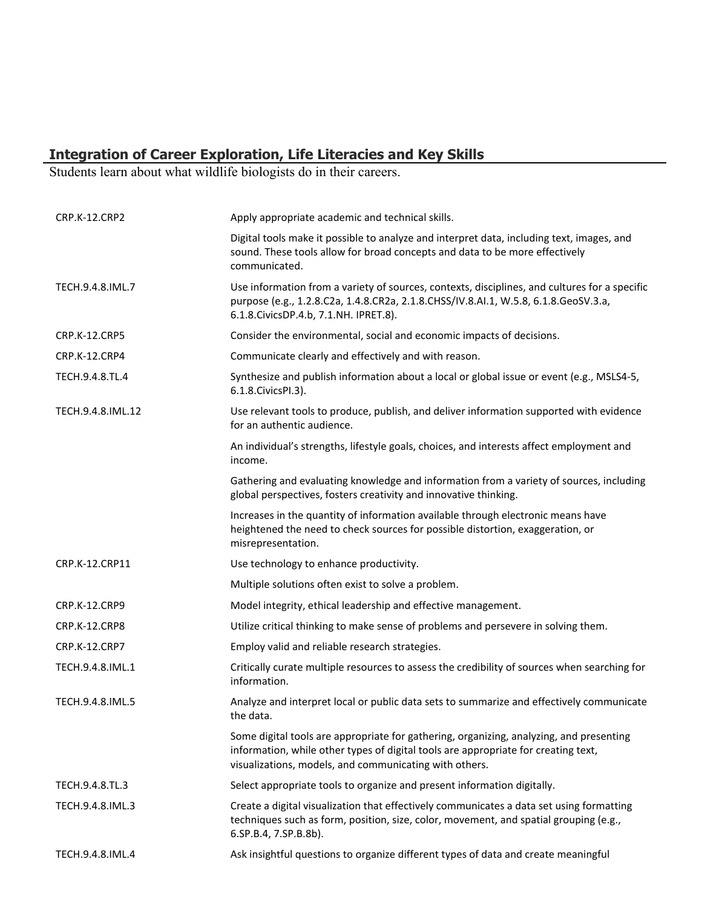#### **Integration of Career Exploration, Life Literacies and Key Skills**

Students learn about what wildlife biologists do in their careers.

| <b>CRP.K-12.CRP2</b> | Apply appropriate academic and technical skills.                                                                                                                                                                                        |
|----------------------|-----------------------------------------------------------------------------------------------------------------------------------------------------------------------------------------------------------------------------------------|
|                      | Digital tools make it possible to analyze and interpret data, including text, images, and<br>sound. These tools allow for broad concepts and data to be more effectively<br>communicated.                                               |
| TECH.9.4.8.IML.7     | Use information from a variety of sources, contexts, disciplines, and cultures for a specific<br>purpose (e.g., 1.2.8.C2a, 1.4.8.CR2a, 2.1.8.CHSS/IV.8.AI.1, W.5.8, 6.1.8.GeoSV.3.a,<br>6.1.8. Civics DP.4.b, 7.1. NH. IPRET.8).        |
| <b>CRP.K-12.CRP5</b> | Consider the environmental, social and economic impacts of decisions.                                                                                                                                                                   |
| <b>CRP.K-12.CRP4</b> | Communicate clearly and effectively and with reason.                                                                                                                                                                                    |
| TECH.9.4.8.TL.4      | Synthesize and publish information about a local or global issue or event (e.g., MSLS4-5,<br>6.1.8. Civics PI.3).                                                                                                                       |
| TECH.9.4.8.IML.12    | Use relevant tools to produce, publish, and deliver information supported with evidence<br>for an authentic audience.                                                                                                                   |
|                      | An individual's strengths, lifestyle goals, choices, and interests affect employment and<br>income.                                                                                                                                     |
|                      | Gathering and evaluating knowledge and information from a variety of sources, including<br>global perspectives, fosters creativity and innovative thinking.                                                                             |
|                      | Increases in the quantity of information available through electronic means have<br>heightened the need to check sources for possible distortion, exaggeration, or<br>misrepresentation.                                                |
| CRP.K-12.CRP11       | Use technology to enhance productivity.                                                                                                                                                                                                 |
|                      | Multiple solutions often exist to solve a problem.                                                                                                                                                                                      |
| <b>CRP.K-12.CRP9</b> | Model integrity, ethical leadership and effective management.                                                                                                                                                                           |
| <b>CRP.K-12.CRP8</b> | Utilize critical thinking to make sense of problems and persevere in solving them.                                                                                                                                                      |
| CRP.K-12.CRP7        | Employ valid and reliable research strategies.                                                                                                                                                                                          |
| TECH.9.4.8.IML.1     | Critically curate multiple resources to assess the credibility of sources when searching for<br>information.                                                                                                                            |
| TECH.9.4.8.IML.5     | Analyze and interpret local or public data sets to summarize and effectively communicate<br>the data.                                                                                                                                   |
|                      | Some digital tools are appropriate for gathering, organizing, analyzing, and presenting<br>information, while other types of digital tools are appropriate for creating text,<br>visualizations, models, and communicating with others. |
| TECH.9.4.8.TL.3      | Select appropriate tools to organize and present information digitally.                                                                                                                                                                 |
| TECH.9.4.8.IML.3     | Create a digital visualization that effectively communicates a data set using formatting<br>techniques such as form, position, size, color, movement, and spatial grouping (e.g.,<br>6.SP.B.4, 7.SP.B.8b).                              |
| TECH.9.4.8.IML.4     | Ask insightful questions to organize different types of data and create meaningful                                                                                                                                                      |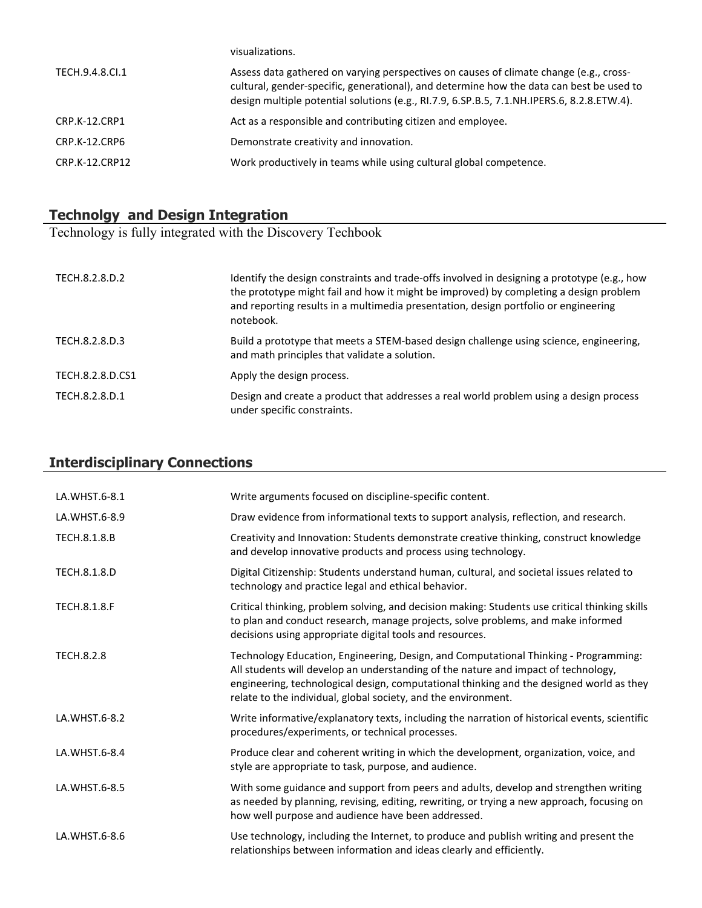|                 | visualizations.                                                                                                                                                                                                                                                                  |
|-----------------|----------------------------------------------------------------------------------------------------------------------------------------------------------------------------------------------------------------------------------------------------------------------------------|
| TECH.9.4.8.Cl.1 | Assess data gathered on varying perspectives on causes of climate change (e.g., cross-<br>cultural, gender-specific, generational), and determine how the data can best be used to<br>design multiple potential solutions (e.g., RI.7.9, 6.SP.B.5, 7.1.NH.IPERS.6, 8.2.8.ETW.4). |
| CRP.K-12.CRP1   | Act as a responsible and contributing citizen and employee.                                                                                                                                                                                                                      |
| CRP.K-12.CRP6   | Demonstrate creativity and innovation.                                                                                                                                                                                                                                           |
| CRP.K-12.CRP12  | Work productively in teams while using cultural global competence.                                                                                                                                                                                                               |

## **Technolgy and Design Integration**

Technology is fully integrated with the Discovery Techbook

| TECH.8.2.8.D.2   | Identify the design constraints and trade-offs involved in designing a prototype (e.g., how<br>the prototype might fail and how it might be improved) by completing a design problem<br>and reporting results in a multimedia presentation, design portfolio or engineering<br>notebook. |
|------------------|------------------------------------------------------------------------------------------------------------------------------------------------------------------------------------------------------------------------------------------------------------------------------------------|
| TECH.8.2.8.D.3   | Build a prototype that meets a STEM-based design challenge using science, engineering,<br>and math principles that validate a solution.                                                                                                                                                  |
| TECH.8.2.8.D.CS1 | Apply the design process.                                                                                                                                                                                                                                                                |
| TECH.8.2.8.D.1   | Design and create a product that addresses a real world problem using a design process<br>under specific constraints.                                                                                                                                                                    |

## **Interdisciplinary Connections**

| LA.WHST.6-8.1       | Write arguments focused on discipline-specific content.                                                                                                                                                                                                                                                                                  |
|---------------------|------------------------------------------------------------------------------------------------------------------------------------------------------------------------------------------------------------------------------------------------------------------------------------------------------------------------------------------|
| LA.WHST.6-8.9       | Draw evidence from informational texts to support analysis, reflection, and research.                                                                                                                                                                                                                                                    |
| TECH.8.1.8.B        | Creativity and Innovation: Students demonstrate creative thinking, construct knowledge<br>and develop innovative products and process using technology.                                                                                                                                                                                  |
| TECH.8.1.8.D        | Digital Citizenship: Students understand human, cultural, and societal issues related to<br>technology and practice legal and ethical behavior.                                                                                                                                                                                          |
| <b>TECH.8.1.8.F</b> | Critical thinking, problem solving, and decision making: Students use critical thinking skills<br>to plan and conduct research, manage projects, solve problems, and make informed<br>decisions using appropriate digital tools and resources.                                                                                           |
| <b>TECH.8.2.8</b>   | Technology Education, Engineering, Design, and Computational Thinking - Programming:<br>All students will develop an understanding of the nature and impact of technology,<br>engineering, technological design, computational thinking and the designed world as they<br>relate to the individual, global society, and the environment. |
| LA.WHST.6-8.2       | Write informative/explanatory texts, including the narration of historical events, scientific<br>procedures/experiments, or technical processes.                                                                                                                                                                                         |
| LA.WHST.6-8.4       | Produce clear and coherent writing in which the development, organization, voice, and<br>style are appropriate to task, purpose, and audience.                                                                                                                                                                                           |
| LA.WHST.6-8.5       | With some guidance and support from peers and adults, develop and strengthen writing<br>as needed by planning, revising, editing, rewriting, or trying a new approach, focusing on<br>how well purpose and audience have been addressed.                                                                                                 |
| LA.WHST.6-8.6       | Use technology, including the Internet, to produce and publish writing and present the<br>relationships between information and ideas clearly and efficiently.                                                                                                                                                                           |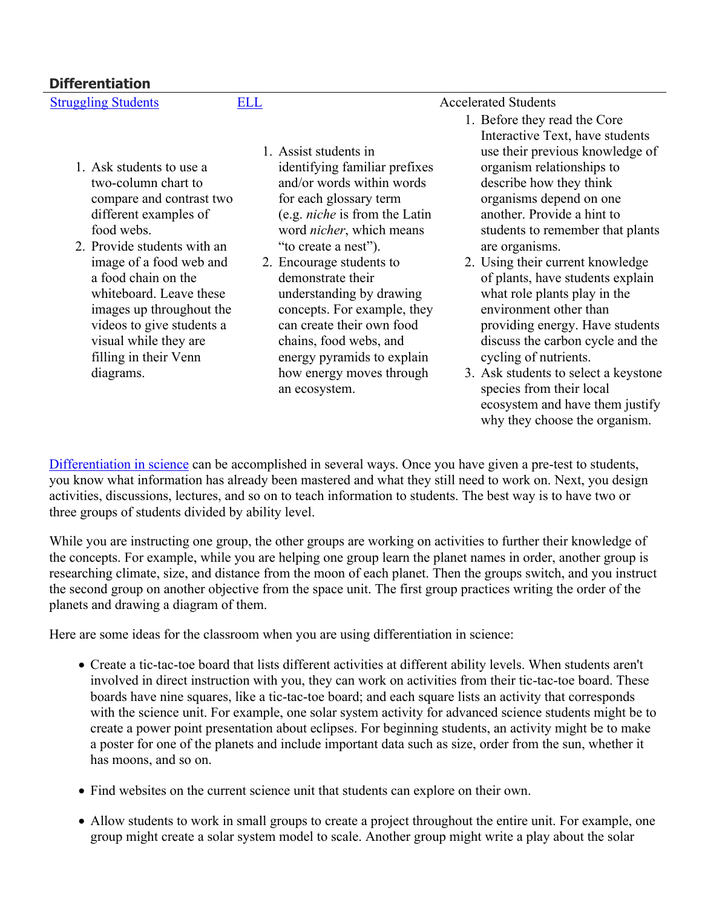- 1. Ask students to use a two-column chart to compare and contrast two different examples of food webs.
- 2. Provide students with an image of a food web and a food chain on the whiteboard. Leave these images up throughout the videos to give students a visual while they are filling in their Venn diagrams.
- 1. Assist students in identifying familiar prefixes and/or words within words for each glossary term (e.g. *niche* is from the Latin word *nicher*, which means "to create a nest").
- 2. Encourage students to demonstrate their understanding by drawing concepts. For example, they can create their own food chains, food webs, and energy pyramids to explain how energy moves through an ecosystem.

[Struggling Students](https://app.discoveryeducation.com/player/view/assetGuid/4995767F-D634-40C6-B25B-BDEA06E14F90) [ELL](https://app.discoveryeducation.com/player/view/assetGuid/D727DF69-B79B-4A92-AA1F-CE23C74D98D9) Accelerated Students

- 1. Before they read the Core Interactive Text, have students use their previous knowledge of organism relationships to describe how they think organisms depend on one another. Provide a hint to students to remember that plants are organisms.
- 2. Using their current knowledge of plants, have students explain what role plants play in the environment other than providing energy. Have students discuss the carbon cycle and the cycling of nutrients.
- 3. Ask students to select a keystone species from their local ecosystem and have them justify why they choose the organism.

[Differentiation in science](http://www.brighthubeducation.com/teaching-gifted-students/65181-differentiation-techniques-and-activities-in-the-classroom-for-gifted-students/) can be accomplished in several ways. Once you have given a pre-test to students, you know what information has already been mastered and what they still need to work on. Next, you design activities, discussions, lectures, and so on to teach information to students. The best way is to have two or three groups of students divided by ability level.

While you are instructing one group, the other groups are working on activities to further their knowledge of the concepts. For example, while you are helping one group learn the planet names in order, another group is researching climate, size, and distance from the moon of each planet. Then the groups switch, and you instruct the second group on another objective from the space unit. The first group practices writing the order of the planets and drawing a diagram of them.

Here are some ideas for the classroom when you are using differentiation in science:

- Create a tic-tac-toe board that lists different activities at different ability levels. When students aren't involved in direct instruction with you, they can work on activities from their tic-tac-toe board. These boards have nine squares, like a tic-tac-toe board; and each square lists an activity that corresponds with the science unit. For example, one solar system activity for advanced science students might be to create a power point presentation about eclipses. For beginning students, an activity might be to make a poster for one of the planets and include important data such as size, order from the sun, whether it has moons, and so on.
- Find websites on the current science unit that students can explore on their own.
- Allow students to work in small groups to create a project throughout the entire unit. For example, one group might create a solar system model to scale. Another group might write a play about the solar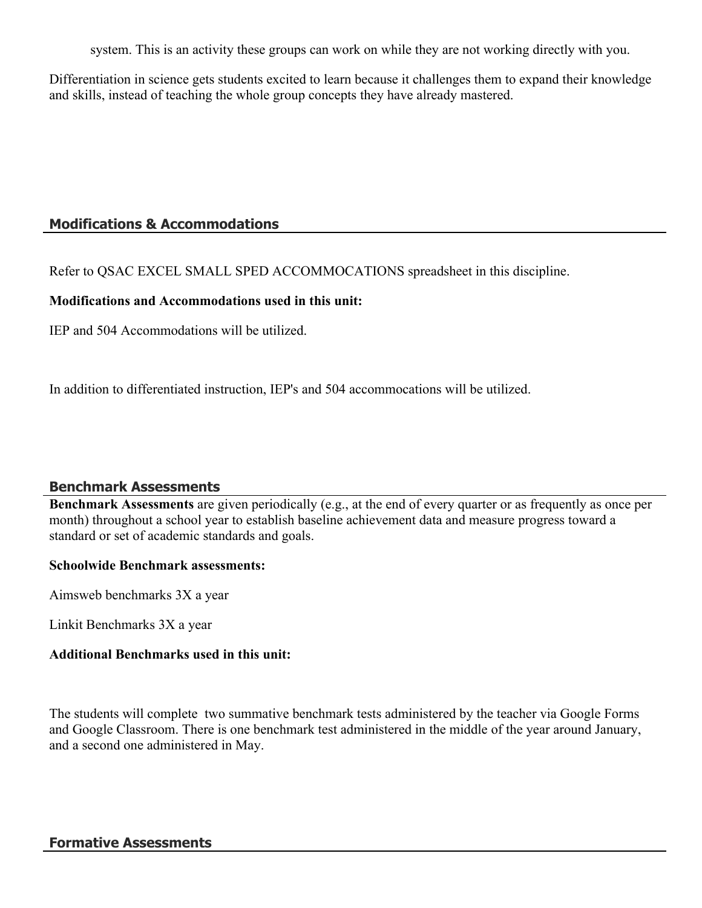system. This is an activity these groups can work on while they are not working directly with you.

Differentiation in science gets students excited to learn because it challenges them to expand their knowledge and skills, instead of teaching the whole group concepts they have already mastered.

## **Modifications & Accommodations**

Refer to QSAC EXCEL SMALL SPED ACCOMMOCATIONS spreadsheet in this discipline.

## **Modifications and Accommodations used in this unit:**

IEP and 504 Accommodations will be utilized.

In addition to differentiated instruction, IEP's and 504 accommocations will be utilized.

## **Benchmark Assessments**

**Benchmark Assessments** are given periodically (e.g., at the end of every quarter or as frequently as once per month) throughout a school year to establish baseline achievement data and measure progress toward a standard or set of academic standards and goals.

#### **Schoolwide Benchmark assessments:**

Aimsweb benchmarks 3X a year

Linkit Benchmarks 3X a year

## **Additional Benchmarks used in this unit:**

The students will complete two summative benchmark tests administered by the teacher via Google Forms and Google Classroom. There is one benchmark test administered in the middle of the year around January, and a second one administered in May.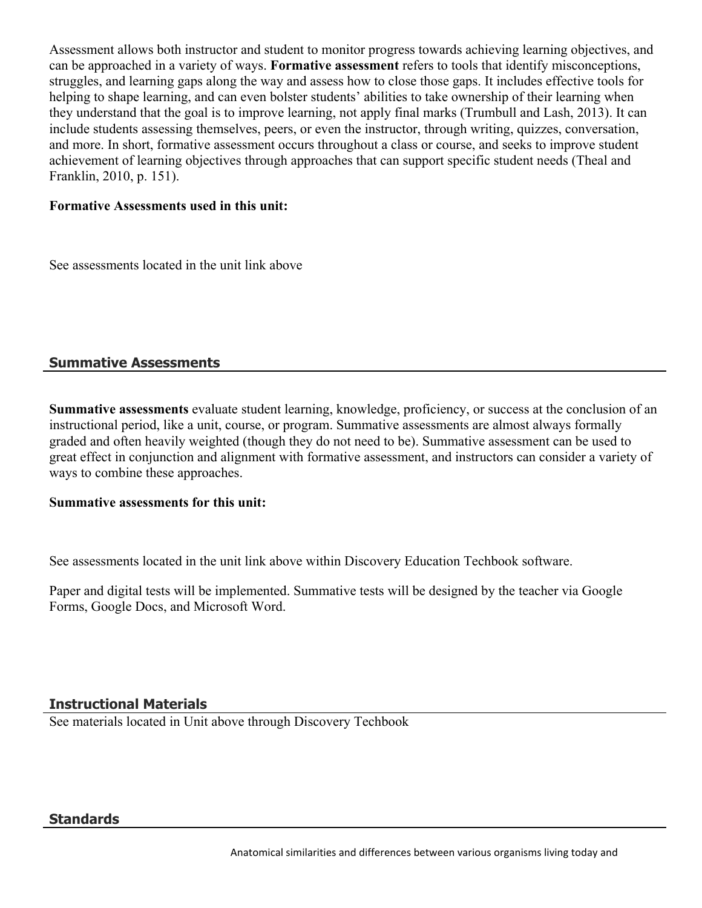Assessment allows both instructor and student to monitor progress towards achieving learning objectives, and can be approached in a variety of ways. **Formative assessment** refers to tools that identify misconceptions, struggles, and learning gaps along the way and assess how to close those gaps. It includes effective tools for helping to shape learning, and can even bolster students' abilities to take ownership of their learning when they understand that the goal is to improve learning, not apply final marks (Trumbull and Lash, 2013). It can include students assessing themselves, peers, or even the instructor, through writing, quizzes, conversation, and more. In short, formative assessment occurs throughout a class or course, and seeks to improve student achievement of learning objectives through approaches that can support specific student needs (Theal and Franklin, 2010, p. 151).

## **Formative Assessments used in this unit:**

See assessments located in the unit link above

## **Summative Assessments**

**Summative assessments** evaluate student learning, knowledge, proficiency, or success at the conclusion of an instructional period, like a unit, course, or program. Summative assessments are almost always formally graded and often heavily weighted (though they do not need to be). Summative assessment can be used to great effect in conjunction and alignment with formative assessment, and instructors can consider a variety of ways to combine these approaches.

## **Summative assessments for this unit:**

See assessments located in the unit link above within Discovery Education Techbook software.

Paper and digital tests will be implemented. Summative tests will be designed by the teacher via Google Forms, Google Docs, and Microsoft Word.

## **Instructional Materials**

See materials located in Unit above through Discovery Techbook

## **Standards**